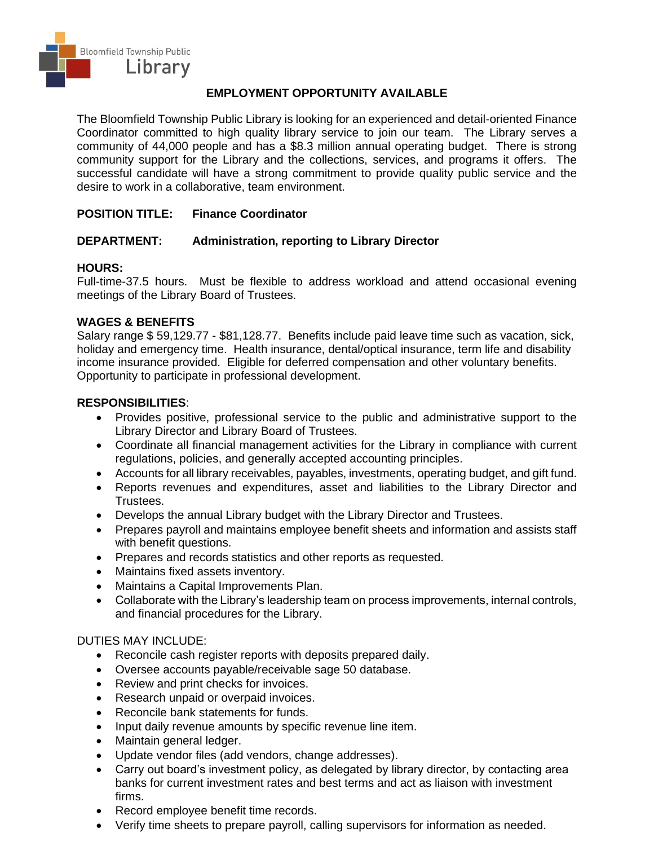

# **EMPLOYMENT OPPORTUNITY AVAILABLE**

The Bloomfield Township Public Library is looking for an experienced and detail-oriented Finance Coordinator committed to high quality library service to join our team. The Library serves a community of 44,000 people and has a \$8.3 million annual operating budget. There is strong community support for the Library and the collections, services, and programs it offers. The successful candidate will have a strong commitment to provide quality public service and the desire to work in a collaborative, team environment.

## **POSITION TITLE: Finance Coordinator**

## **DEPARTMENT: Administration, reporting to Library Director**

### **HOURS:**

Full-time-37.5 hours. Must be flexible to address workload and attend occasional evening meetings of the Library Board of Trustees.

### **WAGES & BENEFITS**

Salary range \$ 59,129.77 - \$81,128.77. Benefits include paid leave time such as vacation, sick, holiday and emergency time. Health insurance, dental/optical insurance, term life and disability income insurance provided. Eligible for deferred compensation and other voluntary benefits. Opportunity to participate in professional development.

#### **RESPONSIBILITIES**:

- Provides positive, professional service to the public and administrative support to the Library Director and Library Board of Trustees.
- Coordinate all financial management activities for the Library in compliance with current regulations, policies, and generally accepted accounting principles.
- Accounts for all library receivables, payables, investments, operating budget, and gift fund.
- Reports revenues and expenditures, asset and liabilities to the Library Director and Trustees.
- Develops the annual Library budget with the Library Director and Trustees.
- Prepares payroll and maintains employee benefit sheets and information and assists staff with benefit questions.
- Prepares and records statistics and other reports as requested.
- Maintains fixed assets inventory.
- Maintains a Capital Improvements Plan.
- Collaborate with the Library's leadership team on process improvements, internal controls, and financial procedures for the Library.

### DUTIES MAY INCLUDE:

- Reconcile cash register reports with deposits prepared daily.
- Oversee accounts payable/receivable sage 50 database.
- Review and print checks for invoices.
- Research unpaid or overpaid invoices.
- Reconcile bank statements for funds.
- Input daily revenue amounts by specific revenue line item.
- Maintain general ledger.
- Update vendor files (add vendors, change addresses).
- Carry out board's investment policy, as delegated by library director, by contacting area banks for current investment rates and best terms and act as liaison with investment firms.
- Record employee benefit time records.
- Verify time sheets to prepare payroll, calling supervisors for information as needed.